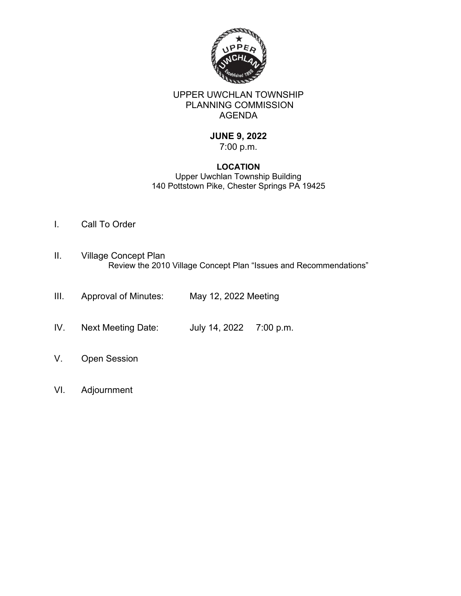

# UPPER UWCHLAN TOWNSHIP PLANNING COMMISSION AGENDA

# **JUNE 9, 2022**

# 7:00 p.m.

#### **LOCATION** Upper Uwchlan Township Building 140 Pottstown Pike, Chester Springs PA 19425

- I. Call To Order
- II. Village Concept Plan Review the 2010 Village Concept Plan "Issues and Recommendations"
- III. Approval of Minutes: May 12, 2022 Meeting
- IV. Next Meeting Date: July 14, 2022 7:00 p.m.
- V. Open Session
- VI. Adjournment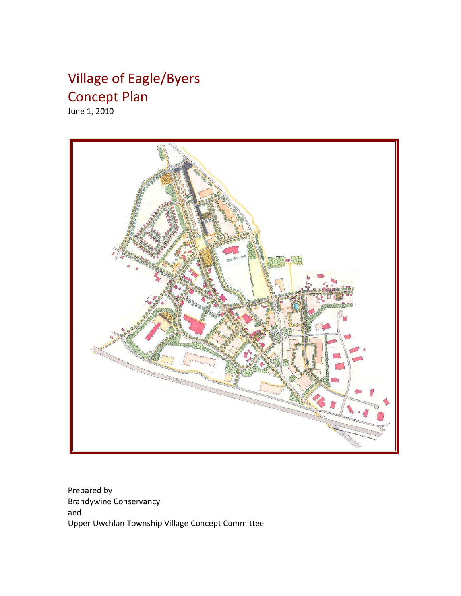# Village of Eagle/Byers Concept Plan

June 1, 2010



Prepared by Brandywine Conservancy and Upper Uwchlan Township Village Concept Committee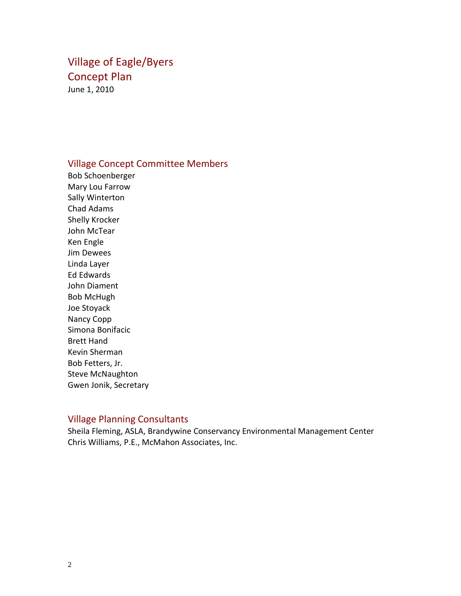# Village of Eagle/Byers Concept Plan June 1, 2010

# Village Concept Committee Members

Bob Schoenberger Mary Lou Farrow Sally Winterton Chad Adams Shelly Krocker John McTear Ken Engle Jim Dewees Linda Layer Ed Edwards John Diament Bob McHugh Joe Stoyack Nancy Copp Simona Bonifacic Brett Hand Kevin Sherman Bob Fetters, Jr. Steve McNaughton Gwen Jonik, Secretary

# Village Planning Consultants

Sheila Fleming, ASLA, Brandywine Conservancy Environmental Management Center Chris Williams, P.E., McMahon Associates, Inc.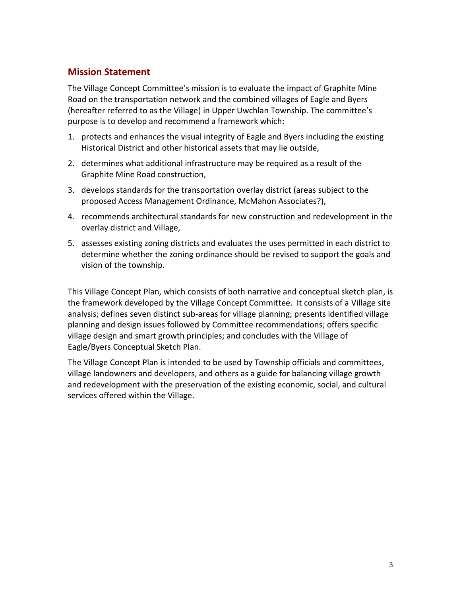# **Mission Statement**

The Village Concept Committee's mission is to evaluate the impact of Graphite Mine Road on the transportation network and the combined villages of Eagle and Byers (hereafter referred to as the Village) in Upper Uwchlan Township. The committee's purpose is to develop and recommend a framework which:

- 1. protects and enhances the visual integrity of Eagle and Byers including the existing Historical District and other historical assets that may lie outside,
- 2. determines what additional infrastructure may be required as a result of the Graphite Mine Road construction,
- 3. develops standards for the transportation overlay district (areas subject to the proposed Access Management Ordinance, McMahon Associates?),
- 4. recommends architectural standards for new construction and redevelopment in the overlay district and Village,
- 5. assesses existing zoning districts and evaluates the uses permitted in each district to determine whether the zoning ordinance should be revised to support the goals and vision of the township.

This Village Concept Plan, which consists of both narrative and conceptual sketch plan, is the framework developed by the Village Concept Committee. It consists of a Village site analysis; defines seven distinct sub-areas for village planning; presents identified village planning and design issues followed by Committee recommendations; offers specific village design and smart growth principles; and concludes with the Village of Eagle/Byers Conceptual Sketch Plan.

The Village Concept Plan is intended to be used by Township officials and committees, village landowners and developers, and others as a guide for balancing village growth and redevelopment with the preservation of the existing economic, social, and cultural services offered within the Village.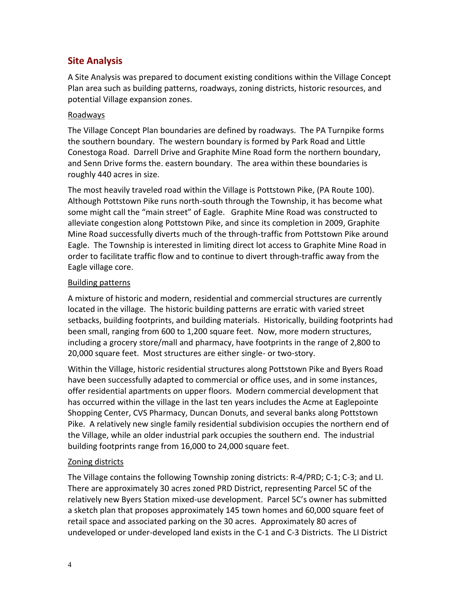# **Site Analysis**

A Site Analysis was prepared to document existing conditions within the Village Concept Plan area such as building patterns, roadways, zoning districts, historic resources, and potential Village expansion zones.

#### Roadways

The Village Concept Plan boundaries are defined by roadways. The PA Turnpike forms the southern boundary. The western boundary is formed by Park Road and Little Conestoga Road. Darrell Drive and Graphite Mine Road form the northern boundary, and Senn Drive forms the. eastern boundary. The area within these boundaries is roughly 440 acres in size.

The most heavily traveled road within the Village is Pottstown Pike, (PA Route 100). Although Pottstown Pike runs north-south through the Township, it has become what some might call the "main street" of Eagle. Graphite Mine Road was constructed to alleviate congestion along Pottstown Pike, and since its completion in 2009, Graphite Mine Road successfully diverts much of the through-traffic from Pottstown Pike around Eagle. The Township is interested in limiting direct lot access to Graphite Mine Road in order to facilitate traffic flow and to continue to divert through-traffic away from the Eagle village core.

#### Building patterns

A mixture of historic and modern, residential and commercial structures are currently located in the village. The historic building patterns are erratic with varied street setbacks, building footprints, and building materials. Historically, building footprints had been small, ranging from 600 to 1,200 square feet. Now, more modern structures, including a grocery store/mall and pharmacy, have footprints in the range of 2,800 to 20,000 square feet. Most structures are either single- or two-story.

Within the Village, historic residential structures along Pottstown Pike and Byers Road have been successfully adapted to commercial or office uses, and in some instances, offer residential apartments on upper floors. Modern commercial development that has occurred within the village in the last ten years includes the Acme at Eaglepointe Shopping Center, CVS Pharmacy, Duncan Donuts, and several banks along Pottstown Pike. A relatively new single family residential subdivision occupies the northern end of the Village, while an older industrial park occupies the southern end. The industrial building footprints range from 16,000 to 24,000 square feet.

#### Zoning districts

The Village contains the following Township zoning districts: R-4/PRD; C-1; C-3; and LI. There are approximately 30 acres zoned PRD District, representing Parcel 5C of the relatively new Byers Station mixed-use development. Parcel 5C's owner has submitted a sketch plan that proposes approximately 145 town homes and 60,000 square feet of retail space and associated parking on the 30 acres. Approximately 80 acres of undeveloped or under-developed land exists in the C-1 and C-3 Districts. The LI District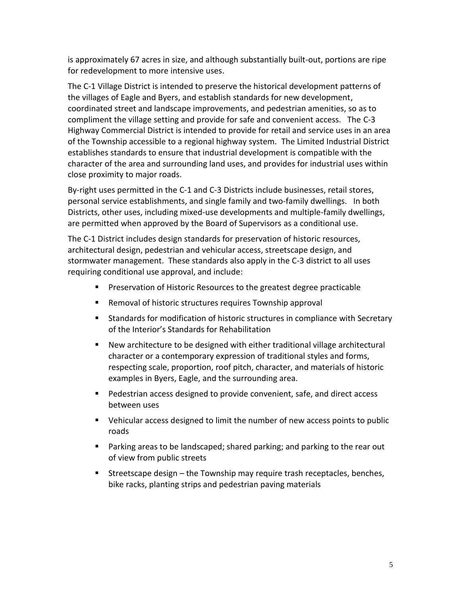is approximately 67 acres in size, and although substantially built-out, portions are ripe for redevelopment to more intensive uses.

The C-1 Village District is intended to preserve the historical development patterns of the villages of Eagle and Byers, and establish standards for new development, coordinated street and landscape improvements, and pedestrian amenities, so as to compliment the village setting and provide for safe and convenient access. The C-3 Highway Commercial District is intended to provide for retail and service uses in an area of the Township accessible to a regional highway system. The Limited Industrial District establishes standards to ensure that industrial development is compatible with the character of the area and surrounding land uses, and provides for industrial uses within close proximity to major roads.

By-right uses permitted in the C-1 and C-3 Districts include businesses, retail stores, personal service establishments, and single family and two-family dwellings. In both Districts, other uses, including mixed-use developments and multiple-family dwellings, are permitted when approved by the Board of Supervisors as a conditional use.

The C-1 District includes design standards for preservation of historic resources, architectural design, pedestrian and vehicular access, streetscape design, and stormwater management. These standards also apply in the C-3 district to all uses requiring conditional use approval, and include:

- **Preservation of Historic Resources to the greatest degree practicable**
- Removal of historic structures requires Township approval
- **Standards for modification of historic structures in compliance with Secretary** of the Interior's Standards for Rehabilitation
- New architecture to be designed with either traditional village architectural character or a contemporary expression of traditional styles and forms, respecting scale, proportion, roof pitch, character, and materials of historic examples in Byers, Eagle, and the surrounding area.
- Pedestrian access designed to provide convenient, safe, and direct access between uses
- Vehicular access designed to limit the number of new access points to public roads
- **Parking areas to be landscaped; shared parking; and parking to the rear out** of view from public streets
- **Streetscape design the Township may require trash receptacles, benches,** bike racks, planting strips and pedestrian paving materials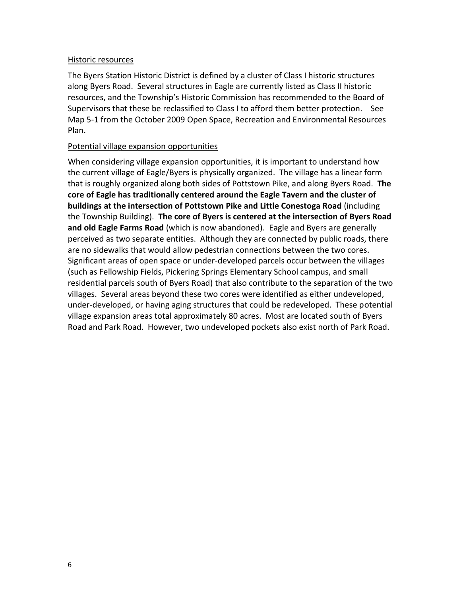#### Historic resources

The Byers Station Historic District is defined by a cluster of Class I historic structures along Byers Road. Several structures in Eagle are currently listed as Class II historic resources, and the Township's Historic Commission has recommended to the Board of Supervisors that these be reclassified to Class I to afford them better protection. See Map 5-1 from the October 2009 Open Space, Recreation and Environmental Resources Plan.

#### Potential village expansion opportunities

When considering village expansion opportunities, it is important to understand how the current village of Eagle/Byers is physically organized. The village has a linear form that is roughly organized along both sides of Pottstown Pike, and along Byers Road. **The core of Eagle has traditionally centered around the Eagle Tavern and the cluster of buildings at the intersection of Pottstown Pike and Little Conestoga Road** (including the Township Building). **The core of Byers is centered at the intersection of Byers Road and old Eagle Farms Road** (which is now abandoned). Eagle and Byers are generally perceived as two separate entities. Although they are connected by public roads, there are no sidewalks that would allow pedestrian connections between the two cores. Significant areas of open space or under-developed parcels occur between the villages (such as Fellowship Fields, Pickering Springs Elementary School campus, and small residential parcels south of Byers Road) that also contribute to the separation of the two villages. Several areas beyond these two cores were identified as either undeveloped, under-developed, or having aging structures that could be redeveloped. These potential village expansion areas total approximately 80 acres. Most are located south of Byers Road and Park Road. However, two undeveloped pockets also exist north of Park Road.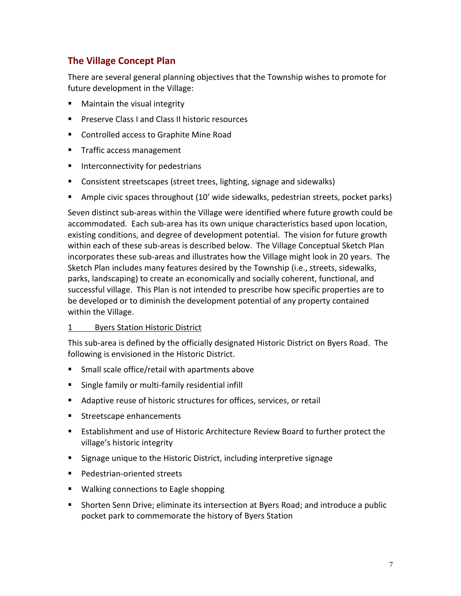# **The Village Concept Plan**

There are several general planning objectives that the Township wishes to promote for future development in the Village:

- **Maintain the visual integrity**
- **PILAS PRESERVE CLASS I and Class II historic resources**
- Controlled access to Graphite Mine Road
- **Traffic access management**
- **Interconnectivity for pedestrians**
- **Consistent streetscapes (street trees, lighting, signage and sidewalks)**
- Ample civic spaces throughout (10' wide sidewalks, pedestrian streets, pocket parks)

Seven distinct sub-areas within the Village were identified where future growth could be accommodated. Each sub-area has its own unique characteristics based upon location, existing conditions, and degree of development potential. The vision for future growth within each of these sub-areas is described below. The Village Conceptual Sketch Plan incorporates these sub-areas and illustrates how the Village might look in 20 years. The Sketch Plan includes many features desired by the Township (i.e., streets, sidewalks, parks, landscaping) to create an economically and socially coherent, functional, and successful village. This Plan is not intended to prescribe how specific properties are to be developed or to diminish the development potential of any property contained within the Village.

#### 1 Byers Station Historic District

This sub-area is defined by the officially designated Historic District on Byers Road. The following is envisioned in the Historic District.

- **Small scale office/retail with apartments above**
- **Single family or multi-family residential infill**
- Adaptive reuse of historic structures for offices, services, or retail
- **Streetscape enhancements**
- Establishment and use of Historic Architecture Review Board to further protect the village's historic integrity
- Signage unique to the Historic District, including interpretive signage
- **Pedestrian-oriented streets**
- **Walking connections to Eagle shopping**
- Shorten Senn Drive; eliminate its intersection at Byers Road; and introduce a public pocket park to commemorate the history of Byers Station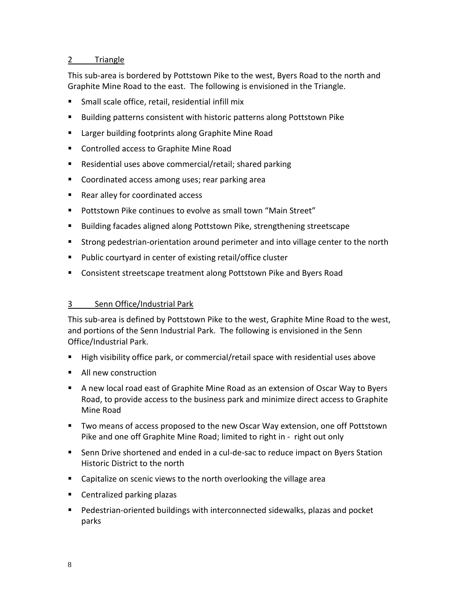#### 2 Triangle

This sub-area is bordered by Pottstown Pike to the west, Byers Road to the north and Graphite Mine Road to the east. The following is envisioned in the Triangle.

- Small scale office, retail, residential infill mix
- Building patterns consistent with historic patterns along Pottstown Pike
- **E** Larger building footprints along Graphite Mine Road
- Controlled access to Graphite Mine Road
- Residential uses above commercial/retail; shared parking
- **Coordinated access among uses; rear parking area**
- Rear alley for coordinated access
- Pottstown Pike continues to evolve as small town "Main Street"
- Building facades aligned along Pottstown Pike, strengthening streetscape
- Strong pedestrian-orientation around perimeter and into village center to the north
- Public courtyard in center of existing retail/office cluster
- **EXP** Consistent streetscape treatment along Pottstown Pike and Byers Road

#### 3 Senn Office/Industrial Park

This sub-area is defined by Pottstown Pike to the west, Graphite Mine Road to the west, and portions of the Senn Industrial Park. The following is envisioned in the Senn Office/Industrial Park.

- High visibility office park, or commercial/retail space with residential uses above
- All new construction
- A new local road east of Graphite Mine Road as an extension of Oscar Way to Byers Road, to provide access to the business park and minimize direct access to Graphite Mine Road
- Two means of access proposed to the new Oscar Way extension, one off Pottstown Pike and one off Graphite Mine Road; limited to right in - right out only
- Senn Drive shortened and ended in a cul-de-sac to reduce impact on Byers Station Historic District to the north
- Capitalize on scenic views to the north overlooking the village area
- **Centralized parking plazas**
- Pedestrian-oriented buildings with interconnected sidewalks, plazas and pocket parks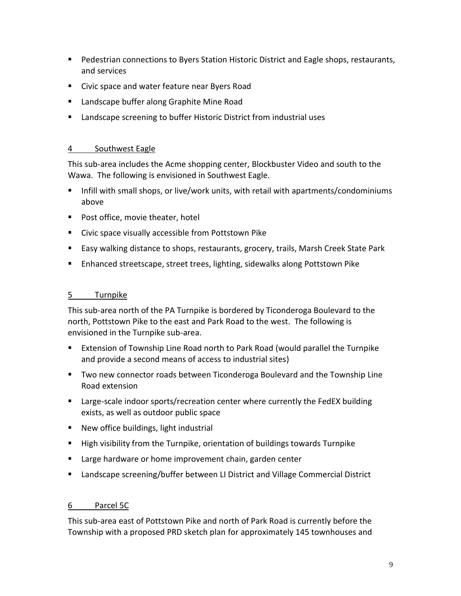- **Pedestrian connections to Byers Station Historic District and Eagle shops, restaurants,** and services
- Civic space and water feature near Byers Road
- **E** Landscape buffer along Graphite Mine Road
- Landscape screening to buffer Historic District from industrial uses

#### 4 Southwest Eagle

This sub-area includes the Acme shopping center, Blockbuster Video and south to the Wawa. The following is envisioned in Southwest Eagle.

- **Infill with small shops, or live/work units, with retail with apartments/condominiums** above
- Post office, movie theater, hotel
- **EXECT** Civic space visually accessible from Pottstown Pike
- **Easy walking distance to shops, restaurants, grocery, trails, Marsh Creek State Park**
- Enhanced streetscape, street trees, lighting, sidewalks along Pottstown Pike

### 5 Turnpike

This sub-area north of the PA Turnpike is bordered by Ticonderoga Boulevard to the north, Pottstown Pike to the east and Park Road to the west. The following is envisioned in the Turnpike sub-area.

- Extension of Township Line Road north to Park Road (would parallel the Turnpike and provide a second means of access to industrial sites)
- Two new connector roads between Ticonderoga Boulevard and the Township Line Road extension
- **E** Large-scale indoor sports/recreation center where currently the FedEX building exists, as well as outdoor public space
- New office buildings, light industrial
- High visibility from the Turnpike, orientation of buildings towards Turnpike
- **EXTE:** Large hardware or home improvement chain, garden center
- **EXT** Landscape screening/buffer between LI District and Village Commercial District

#### 6 Parcel 5C

This sub-area east of Pottstown Pike and north of Park Road is currently before the Township with a proposed PRD sketch plan for approximately 145 townhouses and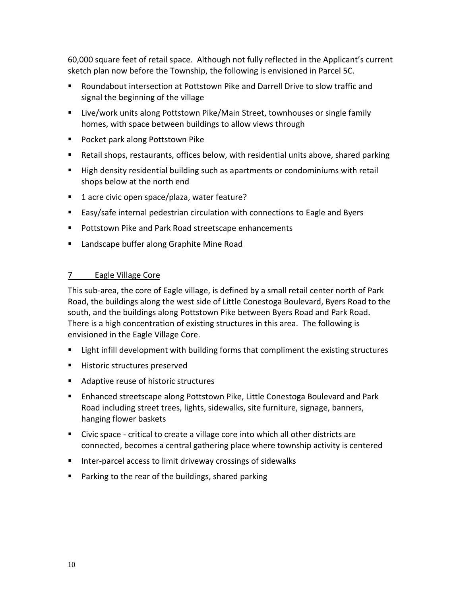60,000 square feet of retail space. Although not fully reflected in the Applicant's current sketch plan now before the Township, the following is envisioned in Parcel 5C.

- Roundabout intersection at Pottstown Pike and Darrell Drive to slow traffic and signal the beginning of the village
- Live/work units along Pottstown Pike/Main Street, townhouses or single family homes, with space between buildings to allow views through
- **Pocket park along Pottstown Pike**
- Retail shops, restaurants, offices below, with residential units above, shared parking
- High density residential building such as apartments or condominiums with retail shops below at the north end
- 1 acre civic open space/plaza, water feature?
- Easy/safe internal pedestrian circulation with connections to Eagle and Byers
- **Pottstown Pike and Park Road streetscape enhancements**
- **E** Landscape buffer along Graphite Mine Road

# 7 Eagle Village Core

This sub-area, the core of Eagle village, is defined by a small retail center north of Park Road, the buildings along the west side of Little Conestoga Boulevard, Byers Road to the south, and the buildings along Pottstown Pike between Byers Road and Park Road. There is a high concentration of existing structures in this area. The following is envisioned in the Eagle Village Core.

- **EXECT Light infill development with building forms that compliment the existing structures**
- **Historic structures preserved**
- Adaptive reuse of historic structures
- **Enhanced streetscape along Pottstown Pike, Little Conestoga Boulevard and Park** Road including street trees, lights, sidewalks, site furniture, signage, banners, hanging flower baskets
- Civic space critical to create a village core into which all other districts are connected, becomes a central gathering place where township activity is centered
- Inter-parcel access to limit driveway crossings of sidewalks
- **Parking to the rear of the buildings, shared parking**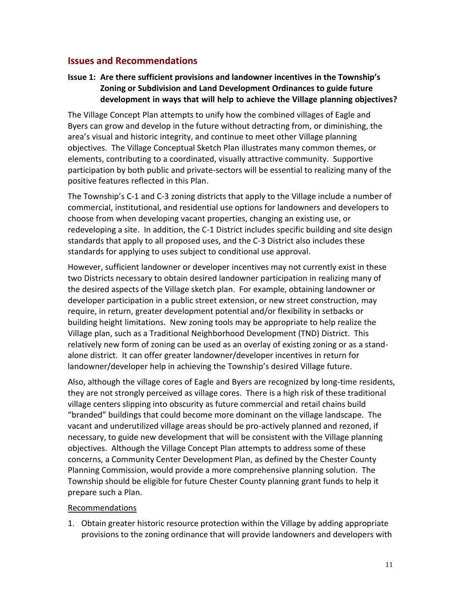# **Issues and Recommendations**

## **Issue 1: Are there sufficient provisions and landowner incentives in the Township's Zoning or Subdivision and Land Development Ordinances to guide future development in ways that will help to achieve the Village planning objectives?**

The Village Concept Plan attempts to unify how the combined villages of Eagle and Byers can grow and develop in the future without detracting from, or diminishing, the area's visual and historic integrity, and continue to meet other Village planning objectives. The Village Conceptual Sketch Plan illustrates many common themes, or elements, contributing to a coordinated, visually attractive community. Supportive participation by both public and private-sectors will be essential to realizing many of the positive features reflected in this Plan.

The Township's C-1 and C-3 zoning districts that apply to the Village include a number of commercial, institutional, and residential use options for landowners and developers to choose from when developing vacant properties, changing an existing use, or redeveloping a site. In addition, the C-1 District includes specific building and site design standards that apply to all proposed uses, and the C-3 District also includes these standards for applying to uses subject to conditional use approval.

However, sufficient landowner or developer incentives may not currently exist in these two Districts necessary to obtain desired landowner participation in realizing many of the desired aspects of the Village sketch plan. For example, obtaining landowner or developer participation in a public street extension, or new street construction, may require, in return, greater development potential and/or flexibility in setbacks or building height limitations. New zoning tools may be appropriate to help realize the Village plan, such as a Traditional Neighborhood Development (TND) District. This relatively new form of zoning can be used as an overlay of existing zoning or as a standalone district. It can offer greater landowner/developer incentives in return for landowner/developer help in achieving the Township's desired Village future.

Also, although the village cores of Eagle and Byers are recognized by long-time residents, they are not strongly perceived as village cores. There is a high risk of these traditional village centers slipping into obscurity as future commercial and retail chains build "branded" buildings that could become more dominant on the village landscape. The vacant and underutilized village areas should be pro-actively planned and rezoned, if necessary, to guide new development that will be consistent with the Village planning objectives. Although the Village Concept Plan attempts to address some of these concerns, a Community Center Development Plan, as defined by the Chester County Planning Commission, would provide a more comprehensive planning solution. The Township should be eligible for future Chester County planning grant funds to help it prepare such a Plan.

#### Recommendations

1. Obtain greater historic resource protection within the Village by adding appropriate provisions to the zoning ordinance that will provide landowners and developers with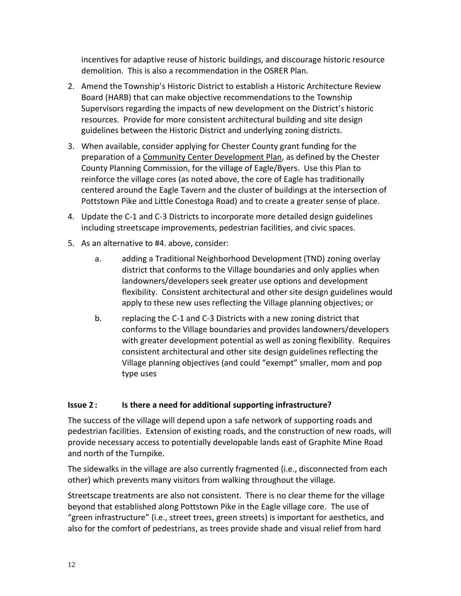incentives for adaptive reuse of historic buildings, and discourage historic resource demolition. This is also a recommendation in the OSRER Plan.

- 2. Amend the Township's Historic District to establish a Historic Architecture Review Board (HARB) that can make objective recommendations to the Township Supervisors regarding the impacts of new development on the District's historic resources. Provide for more consistent architectural building and site design guidelines between the Historic District and underlying zoning districts.
- 3. When available, consider applying for Chester County grant funding for the preparation of a Community Center Development Plan, as defined by the Chester County Planning Commission, for the village of Eagle/Byers. Use this Plan to reinforce the village cores (as noted above, the core of Eagle has traditionally centered around the Eagle Tavern and the cluster of buildings at the intersection of Pottstown Pike and Little Conestoga Road) and to create a greater sense of place.
- 4. Update the C-1 and C-3 Districts to incorporate more detailed design guidelines including streetscape improvements, pedestrian facilities, and civic spaces.
- 5. As an alternative to #4. above, consider:
	- a. adding a Traditional Neighborhood Development (TND) zoning overlay district that conforms to the Village boundaries and only applies when landowners/developers seek greater use options and development flexibility. Consistent architectural and other site design guidelines would apply to these new uses reflecting the Village planning objectives; or
	- b. replacing the C-1 and C-3 Districts with a new zoning district that conforms to the Village boundaries and provides landowners/developers with greater development potential as well as zoning flexibility. Requires consistent architectural and other site design guidelines reflecting the Village planning objectives (and could "exempt" smaller, mom and pop type uses

#### **Issue 2 : Is there a need for additional supporting infrastructure?**

The success of the village will depend upon a safe network of supporting roads and pedestrian facilities. Extension of existing roads, and the construction of new roads, will provide necessary access to potentially developable lands east of Graphite Mine Road and north of the Turnpike.

The sidewalks in the village are also currently fragmented (i.e., disconnected from each other) which prevents many visitors from walking throughout the village.

Streetscape treatments are also not consistent. There is no clear theme for the village beyond that established along Pottstown Pike in the Eagle village core. The use of "green infrastructure" (i.e., street trees, green streets) is important for aesthetics, and also for the comfort of pedestrians, as trees provide shade and visual relief from hard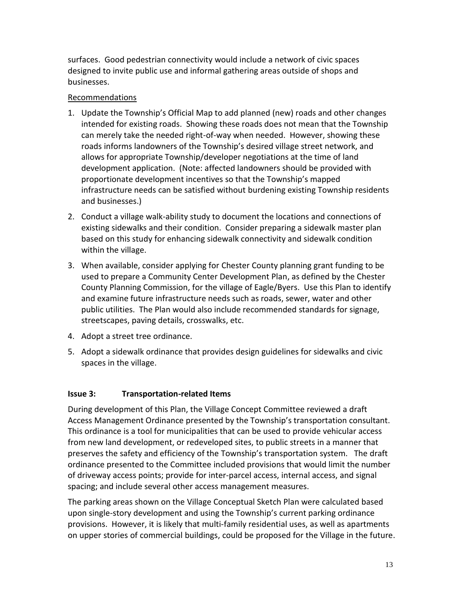surfaces. Good pedestrian connectivity would include a network of civic spaces designed to invite public use and informal gathering areas outside of shops and businesses.

#### Recommendations

- 1. Update the Township's Official Map to add planned (new) roads and other changes intended for existing roads. Showing these roads does not mean that the Township can merely take the needed right-of-way when needed. However, showing these roads informs landowners of the Township's desired village street network, and allows for appropriate Township/developer negotiations at the time of land development application. (Note: affected landowners should be provided with proportionate development incentives so that the Township's mapped infrastructure needs can be satisfied without burdening existing Township residents and businesses.)
- 2. Conduct a village walk-ability study to document the locations and connections of existing sidewalks and their condition. Consider preparing a sidewalk master plan based on this study for enhancing sidewalk connectivity and sidewalk condition within the village.
- 3. When available, consider applying for Chester County planning grant funding to be used to prepare a Community Center Development Plan, as defined by the Chester County Planning Commission, for the village of Eagle/Byers. Use this Plan to identify and examine future infrastructure needs such as roads, sewer, water and other public utilities. The Plan would also include recommended standards for signage, streetscapes, paving details, crosswalks, etc.
- 4. Adopt a street tree ordinance.
- 5. Adopt a sidewalk ordinance that provides design guidelines for sidewalks and civic spaces in the village.

#### **Issue 3: Transportation-related Items**

During development of this Plan, the Village Concept Committee reviewed a draft Access Management Ordinance presented by the Township's transportation consultant. This ordinance is a tool for municipalities that can be used to provide vehicular access from new land development, or redeveloped sites, to public streets in a manner that preserves the safety and efficiency of the Township's transportation system. The draft ordinance presented to the Committee included provisions that would limit the number of driveway access points; provide for inter-parcel access, internal access, and signal spacing; and include several other access management measures.

The parking areas shown on the Village Conceptual Sketch Plan were calculated based upon single-story development and using the Township's current parking ordinance provisions. However, it is likely that multi-family residential uses, as well as apartments on upper stories of commercial buildings, could be proposed for the Village in the future.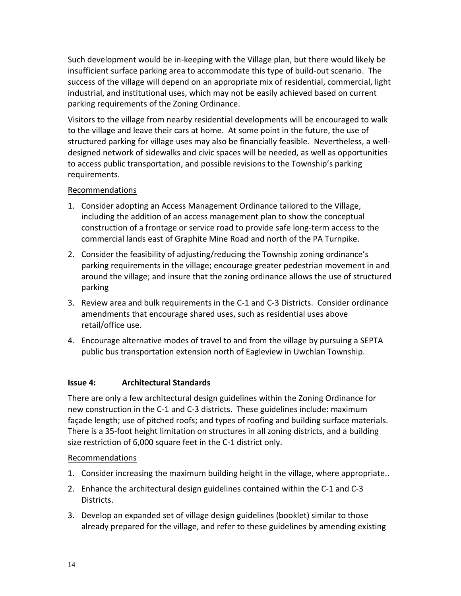Such development would be in-keeping with the Village plan, but there would likely be insufficient surface parking area to accommodate this type of build-out scenario. The success of the village will depend on an appropriate mix of residential, commercial, light industrial, and institutional uses, which may not be easily achieved based on current parking requirements of the Zoning Ordinance.

Visitors to the village from nearby residential developments will be encouraged to walk to the village and leave their cars at home. At some point in the future, the use of structured parking for village uses may also be financially feasible. Nevertheless, a welldesigned network of sidewalks and civic spaces will be needed, as well as opportunities to access public transportation, and possible revisions to the Township's parking requirements.

#### Recommendations

- 1. Consider adopting an Access Management Ordinance tailored to the Village, including the addition of an access management plan to show the conceptual construction of a frontage or service road to provide safe long-term access to the commercial lands east of Graphite Mine Road and north of the PA Turnpike.
- 2. Consider the feasibility of adjusting/reducing the Township zoning ordinance's parking requirements in the village; encourage greater pedestrian movement in and around the village; and insure that the zoning ordinance allows the use of structured parking
- 3. Review area and bulk requirements in the C-1 and C-3 Districts. Consider ordinance amendments that encourage shared uses, such as residential uses above retail/office use.
- 4. Encourage alternative modes of travel to and from the village by pursuing a SEPTA public bus transportation extension north of Eagleview in Uwchlan Township.

# **Issue 4: Architectural Standards**

There are only a few architectural design guidelines within the Zoning Ordinance for new construction in the C-1 and C-3 districts. These guidelines include: maximum façade length; use of pitched roofs; and types of roofing and building surface materials. There is a 35-foot height limitation on structures in all zoning districts, and a building size restriction of 6,000 square feet in the C-1 district only.

# Recommendations

- 1. Consider increasing the maximum building height in the village, where appropriate..
- 2. Enhance the architectural design guidelines contained within the C-1 and C-3 Districts.
- 3. Develop an expanded set of village design guidelines (booklet) similar to those already prepared for the village, and refer to these guidelines by amending existing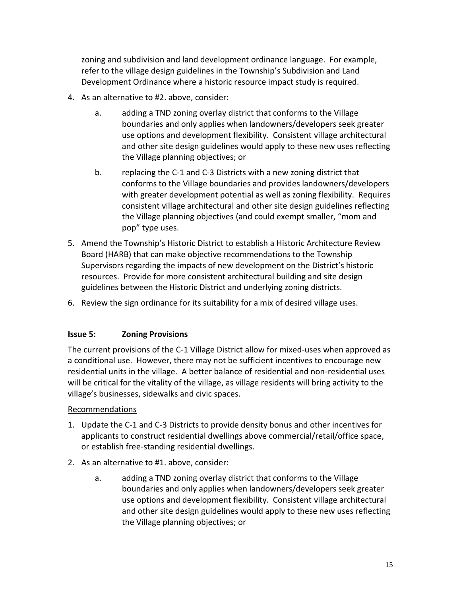zoning and subdivision and land development ordinance language. For example, refer to the village design guidelines in the Township's Subdivision and Land Development Ordinance where a historic resource impact study is required.

- 4. As an alternative to #2. above, consider:
	- a. adding a TND zoning overlay district that conforms to the Village boundaries and only applies when landowners/developers seek greater use options and development flexibility. Consistent village architectural and other site design guidelines would apply to these new uses reflecting the Village planning objectives; or
	- b. replacing the C-1 and C-3 Districts with a new zoning district that conforms to the Village boundaries and provides landowners/developers with greater development potential as well as zoning flexibility. Requires consistent village architectural and other site design guidelines reflecting the Village planning objectives (and could exempt smaller, "mom and pop" type uses.
- 5. Amend the Township's Historic District to establish a Historic Architecture Review Board (HARB) that can make objective recommendations to the Township Supervisors regarding the impacts of new development on the District's historic resources. Provide for more consistent architectural building and site design guidelines between the Historic District and underlying zoning districts.
- 6. Review the sign ordinance for its suitability for a mix of desired village uses.

#### **Issue 5: Zoning Provisions**

The current provisions of the C-1 Village District allow for mixed-uses when approved as a conditional use. However, there may not be sufficient incentives to encourage new residential units in the village. A better balance of residential and non-residential uses will be critical for the vitality of the village, as village residents will bring activity to the village's businesses, sidewalks and civic spaces.

#### Recommendations

- 1. Update the C-1 and C-3 Districts to provide density bonus and other incentives for applicants to construct residential dwellings above commercial/retail/office space, or establish free-standing residential dwellings.
- 2. As an alternative to #1. above, consider:
	- a. adding a TND zoning overlay district that conforms to the Village boundaries and only applies when landowners/developers seek greater use options and development flexibility. Consistent village architectural and other site design guidelines would apply to these new uses reflecting the Village planning objectives; or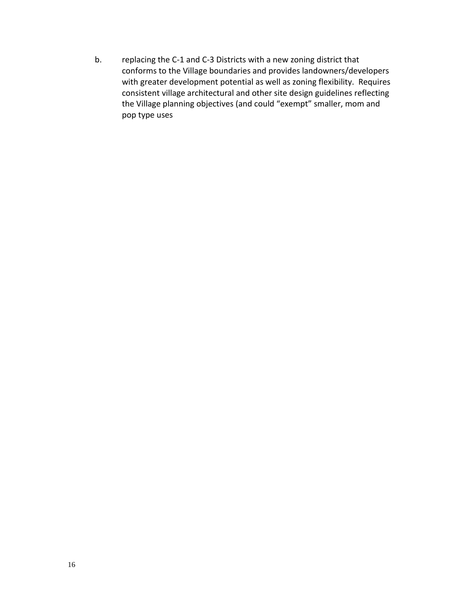b. replacing the C-1 and C-3 Districts with a new zoning district that conforms to the Village boundaries and provides landowners/developers with greater development potential as well as zoning flexibility. Requires consistent village architectural and other site design guidelines reflecting the Village planning objectives (and could "exempt" smaller, mom and pop type uses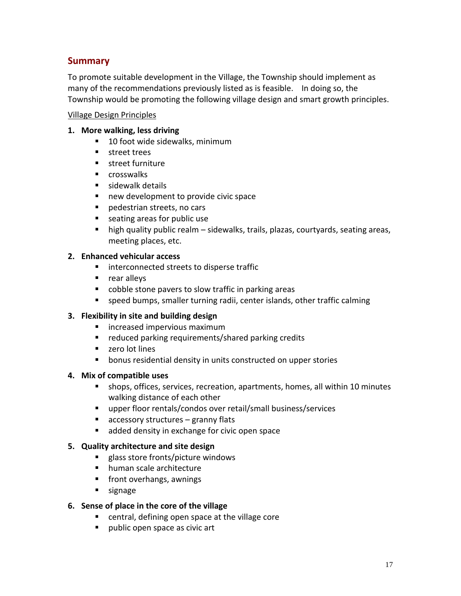# **Summary**

To promote suitable development in the Village, the Township should implement as many of the recommendations previously listed as is feasible. In doing so, the Township would be promoting the following village design and smart growth principles.

#### Village Design Principles

#### **1. More walking, less driving**

- 10 foot wide sidewalks, minimum
- **street trees**
- **street furniture**
- **E** crosswalks
- **sidewalk details**
- new development to provide civic space
- pedestrian streets, no cars
- **Example 2** seating areas for public use
- high quality public realm sidewalks, trails, plazas, courtyards, seating areas, meeting places, etc.

#### **2. Enhanced vehicular access**

- **IF** interconnected streets to disperse traffic
- **rear alleys**
- cobble stone pavers to slow traffic in parking areas
- speed bumps, smaller turning radii, center islands, other traffic calming

#### **3. Flexibility in site and building design**

- **E** increased impervious maximum
- **F** reduced parking requirements/shared parking credits
- **zero lot lines**
- **•** bonus residential density in units constructed on upper stories

#### **4. Mix of compatible uses**

- shops, offices, services, recreation, apartments, homes, all within 10 minutes walking distance of each other
- upper floor rentals/condos over retail/small business/services
- $\blacksquare$  accessory structures granny flats
- **added density in exchange for civic open space**

#### **5. Quality architecture and site design**

- **EXEC** glass store fronts/picture windows
- human scale architecture
- **Fig. 5** front overhangs, awnings
- signage

#### **6. Sense of place in the core of the village**

- central, defining open space at the village core
- public open space as civic art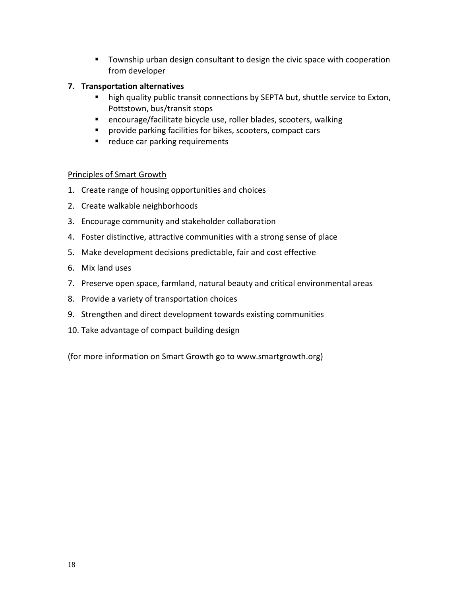**T** Township urban design consultant to design the civic space with cooperation from developer

#### **7. Transportation alternatives**

- **high quality public transit connections by SEPTA but, shuttle service to Exton,** Pottstown, bus/transit stops
- encourage/facilitate bicycle use, roller blades, scooters, walking
- **Perovide parking facilities for bikes, scooters, compact cars**
- reduce car parking requirements

#### Principles of Smart Growth

- 1. Create range of housing opportunities and choices
- 2. Create walkable neighborhoods
- 3. Encourage community and stakeholder collaboration
- 4. Foster distinctive, attractive communities with a strong sense of place
- 5. Make development decisions predictable, fair and cost effective
- 6. Mix land uses
- 7. Preserve open space, farmland, natural beauty and critical environmental areas
- 8. Provide a variety of transportation choices
- 9. Strengthen and direct development towards existing communities
- 10. Take advantage of compact building design

(for more information on Smart Growth go to www.smartgrowth.org)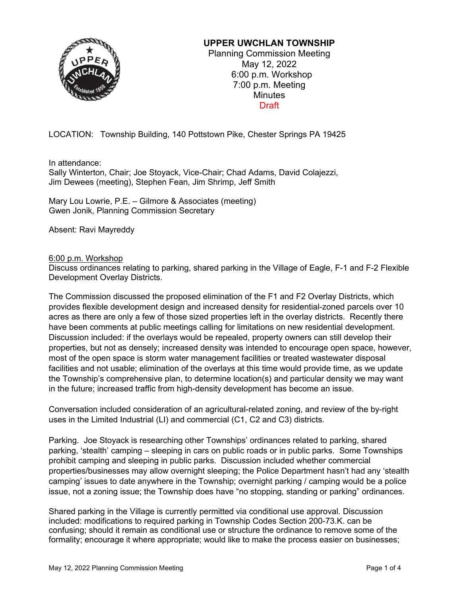

### **UPPER UWCHLAN TOWNSHIP**

Planning Commission Meeting May 12, 2022 6:00 p.m. Workshop 7:00 p.m. Meeting **Minutes** Draft

LOCATION: Township Building, 140 Pottstown Pike, Chester Springs PA 19425

In attendance:

Sally Winterton, Chair; Joe Stoyack, Vice-Chair; Chad Adams, David Colajezzi, Jim Dewees (meeting), Stephen Fean, Jim Shrimp, Jeff Smith

Mary Lou Lowrie, P.E. – Gilmore & Associates (meeting) Gwen Jonik, Planning Commission Secretary

Absent: Ravi Mayreddy

#### 6:00 p.m. Workshop

Discuss ordinances relating to parking, shared parking in the Village of Eagle, F-1 and F-2 Flexible Development Overlay Districts.

The Commission discussed the proposed elimination of the F1 and F2 Overlay Districts, which provides flexible development design and increased density for residential-zoned parcels over 10 acres as there are only a few of those sized properties left in the overlay districts. Recently there have been comments at public meetings calling for limitations on new residential development. Discussion included: if the overlays would be repealed, property owners can still develop their properties, but not as densely; increased density was intended to encourage open space, however, most of the open space is storm water management facilities or treated wastewater disposal facilities and not usable; elimination of the overlays at this time would provide time, as we update the Township's comprehensive plan, to determine location(s) and particular density we may want in the future; increased traffic from high-density development has become an issue.

Conversation included consideration of an agricultural-related zoning, and review of the by-right uses in the Limited Industrial (LI) and commercial (C1, C2 and C3) districts.

Parking. Joe Stoyack is researching other Townships' ordinances related to parking, shared parking, 'stealth' camping – sleeping in cars on public roads or in public parks. Some Townships prohibit camping and sleeping in public parks. Discussion included whether commercial properties/businesses may allow overnight sleeping; the Police Department hasn't had any 'stealth camping' issues to date anywhere in the Township; overnight parking / camping would be a police issue, not a zoning issue; the Township does have "no stopping, standing or parking" ordinances.

Shared parking in the Village is currently permitted via conditional use approval. Discussion included: modifications to required parking in Township Codes Section 200-73.K. can be confusing; should it remain as conditional use or structure the ordinance to remove some of the formality; encourage it where appropriate; would like to make the process easier on businesses;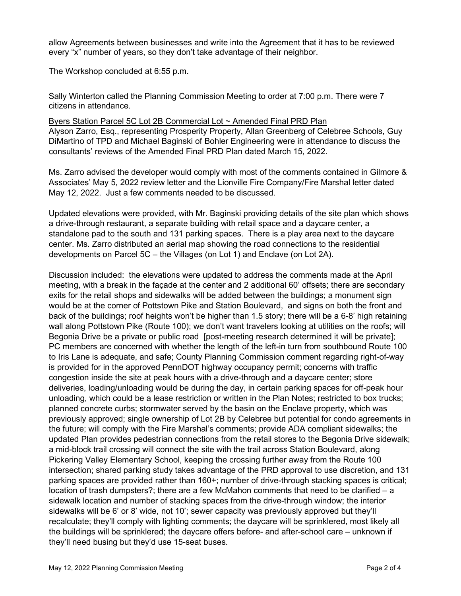allow Agreements between businesses and write into the Agreement that it has to be reviewed every "x" number of years, so they don't take advantage of their neighbor.

The Workshop concluded at 6:55 p.m.

Sally Winterton called the Planning Commission Meeting to order at 7:00 p.m. There were 7 citizens in attendance.

Byers Station Parcel 5C Lot 2B Commercial Lot ~ Amended Final PRD Plan Alyson Zarro, Esq., representing Prosperity Property, Allan Greenberg of Celebree Schools, Guy DiMartino of TPD and Michael Baginski of Bohler Engineering were in attendance to discuss the consultants' reviews of the Amended Final PRD Plan dated March 15, 2022.

Ms. Zarro advised the developer would comply with most of the comments contained in Gilmore & Associates' May 5, 2022 review letter and the Lionville Fire Company/Fire Marshal letter dated May 12, 2022. Just a few comments needed to be discussed.

Updated elevations were provided, with Mr. Baginski providing details of the site plan which shows a drive-through restaurant, a separate building with retail space and a daycare center, a standalone pad to the south and 131 parking spaces. There is a play area next to the daycare center. Ms. Zarro distributed an aerial map showing the road connections to the residential developments on Parcel 5C – the Villages (on Lot 1) and Enclave (on Lot 2A).

Discussion included: the elevations were updated to address the comments made at the April meeting, with a break in the façade at the center and 2 additional 60' offsets; there are secondary exits for the retail shops and sidewalks will be added between the buildings; a monument sign would be at the corner of Pottstown Pike and Station Boulevard, and signs on both the front and back of the buildings; roof heights won't be higher than 1.5 story; there will be a 6-8' high retaining wall along Pottstown Pike (Route 100); we don't want travelers looking at utilities on the roofs; will Begonia Drive be a private or public road [post-meeting research determined it will be private]; PC members are concerned with whether the length of the left-in turn from southbound Route 100 to Iris Lane is adequate, and safe; County Planning Commission comment regarding right-of-way is provided for in the approved PennDOT highway occupancy permit; concerns with traffic congestion inside the site at peak hours with a drive-through and a daycare center; store deliveries, loading/unloading would be during the day, in certain parking spaces for off-peak hour unloading, which could be a lease restriction or written in the Plan Notes; restricted to box trucks; planned concrete curbs; stormwater served by the basin on the Enclave property, which was previously approved; single ownership of Lot 2B by Celebree but potential for condo agreements in the future; will comply with the Fire Marshal's comments; provide ADA compliant sidewalks; the updated Plan provides pedestrian connections from the retail stores to the Begonia Drive sidewalk; a mid-block trail crossing will connect the site with the trail across Station Boulevard, along Pickering Valley Elementary School, keeping the crossing further away from the Route 100 intersection; shared parking study takes advantage of the PRD approval to use discretion, and 131 parking spaces are provided rather than 160+; number of drive-through stacking spaces is critical; location of trash dumpsters?; there are a few McMahon comments that need to be clarified – a sidewalk location and number of stacking spaces from the drive-through window; the interior sidewalks will be 6' or 8' wide, not 10'; sewer capacity was previously approved but they'll recalculate; they'll comply with lighting comments; the daycare will be sprinklered, most likely all the buildings will be sprinklered; the daycare offers before- and after-school care – unknown if they'll need busing but they'd use 15-seat buses.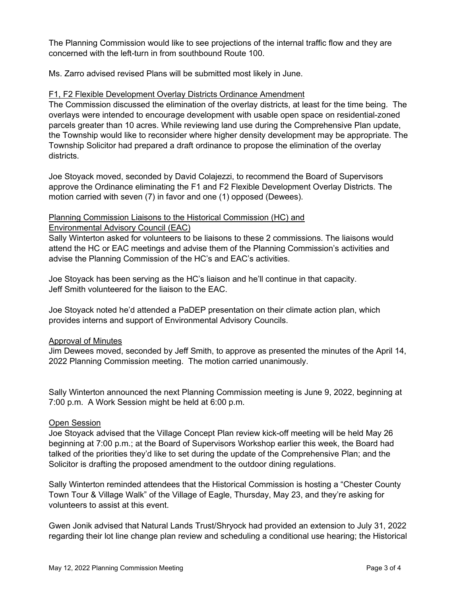The Planning Commission would like to see projections of the internal traffic flow and they are concerned with the left-turn in from southbound Route 100.

Ms. Zarro advised revised Plans will be submitted most likely in June.

#### F1, F2 Flexible Development Overlay Districts Ordinance Amendment

The Commission discussed the elimination of the overlay districts, at least for the time being. The overlays were intended to encourage development with usable open space on residential-zoned parcels greater than 10 acres. While reviewing land use during the Comprehensive Plan update, the Township would like to reconsider where higher density development may be appropriate. The Township Solicitor had prepared a draft ordinance to propose the elimination of the overlay districts.

Joe Stoyack moved, seconded by David Colajezzi, to recommend the Board of Supervisors approve the Ordinance eliminating the F1 and F2 Flexible Development Overlay Districts. The motion carried with seven (7) in favor and one (1) opposed (Dewees).

#### Planning Commission Liaisons to the Historical Commission (HC) and Environmental Advisory Council (EAC)

Sally Winterton asked for volunteers to be liaisons to these 2 commissions. The liaisons would attend the HC or EAC meetings and advise them of the Planning Commission's activities and advise the Planning Commission of the HC's and EAC's activities.

Joe Stoyack has been serving as the HC's liaison and he'll continue in that capacity. Jeff Smith volunteered for the liaison to the EAC.

Joe Stoyack noted he'd attended a PaDEP presentation on their climate action plan, which provides interns and support of Environmental Advisory Councils.

#### Approval of Minutes

Jim Dewees moved, seconded by Jeff Smith, to approve as presented the minutes of the April 14, 2022 Planning Commission meeting. The motion carried unanimously.

Sally Winterton announced the next Planning Commission meeting is June 9, 2022, beginning at 7:00 p.m. A Work Session might be held at 6:00 p.m.

#### Open Session

Joe Stoyack advised that the Village Concept Plan review kick-off meeting will be held May 26 beginning at 7:00 p.m.; at the Board of Supervisors Workshop earlier this week, the Board had talked of the priorities they'd like to set during the update of the Comprehensive Plan; and the Solicitor is drafting the proposed amendment to the outdoor dining regulations.

Sally Winterton reminded attendees that the Historical Commission is hosting a "Chester County Town Tour & Village Walk" of the Village of Eagle, Thursday, May 23, and they're asking for volunteers to assist at this event.

Gwen Jonik advised that Natural Lands Trust/Shryock had provided an extension to July 31, 2022 regarding their lot line change plan review and scheduling a conditional use hearing; the Historical